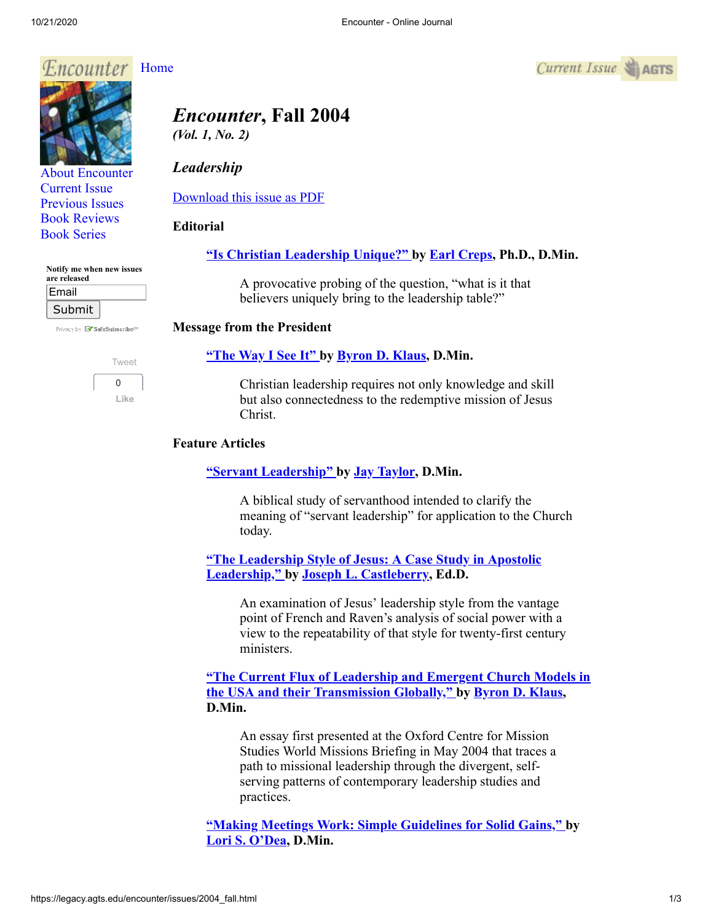

[About Encounter](http://legacy.agts.edu/encounter/about.html) [Current Issue](http://legacy.agts.edu/encounter/current.html) [Previous Issues](http://legacy.agts.edu/encounter/previous.html) [Book Reviews](http://legacy.agts.edu/encounter/book_reviews.html) [Book Series](http://legacy.agts.edu/encounter/resources.html)

| Notify me when new issues<br>are released |  |
|-------------------------------------------|--|
| بالمحمد تتنازل                            |  |

| ⊏шаш   |  |
|--------|--|
| Submit |  |

Privacy by **EV** SafeSubscribe<sup>sM</sup>



# *Encounter***, Fall 2004**

*(Vol. 1, No. 2)*

# *Leadership*

[Download this issue as PDF](https://legacy.agts.edu/encounter/issues/2004fall.pdf)

# **Editorial**

# **["Is Christian Leadership Unique?"](https://legacy.agts.edu/encounter/articles/2004_fall/editorial.htm) by [Earl Creps,](http://legacy.agts.edu/faculty/creps.html) Ph.D., D.Min.**

A provocative probing of the question, "what is it that believers uniquely bring to the leadership table?"

#### **Message from the President**

#### **["The Way I See It" b](https://legacy.agts.edu/encounter/articles/2004_fall/president.htm)y [Byron D. Klaus](http://legacy.agts.edu/faculty/klaus.html), D.Min.**

Christian leadership requires not only knowledge and skill but also connectedness to the redemptive mission of Jesus Christ.

#### **Feature Articles**

#### **["Servant Leadership" b](https://legacy.agts.edu/encounter/articles/2004_fall/taylor_jay.htm)y [Jay Taylor](http://legacy.agts.edu/faculty/taylor.html), D.Min.**

A biblical study of servanthood intended to clarify the meaning of "servant leadership" for application to the Church today.

**["The Leadership Style of Jesus: A Case Study in Apostolic](https://legacy.agts.edu/encounter/articles/2004_fall/castleberry.htm) Leadership," by [Joseph L. Castleberry,](http://legacy.agts.edu/faculty/castleberry.html) Ed.D.**

> An examination of Jesus' leadership style from the vantage point of French and Raven's analysis of social power with a view to the repeatability of that style for twenty-first century ministers.

**["The Current Flux of Leadership and Emergent Church Models in](https://legacy.agts.edu/encounter/articles/2004_fall/klaus.htm) the USA and their Transmission Globally," by [Byron D. Klaus,](http://legacy.agts.edu/faculty/klaus.html) D.Min.**

An essay first presented at the Oxford Centre for Mission Studies World Missions Briefing in May 2004 that traces a path to missional leadership through the divergent, selfserving patterns of contemporary leadership studies and practices.

**["Making Meetings Work: Simple Guidelines for Solid Gains," b](https://legacy.agts.edu/encounter/articles/2004_fall/odea.htm)y [Lori S. O'Dea,](https://legacy.agts.edu/dmin/meet_staff.html) D.Min.**

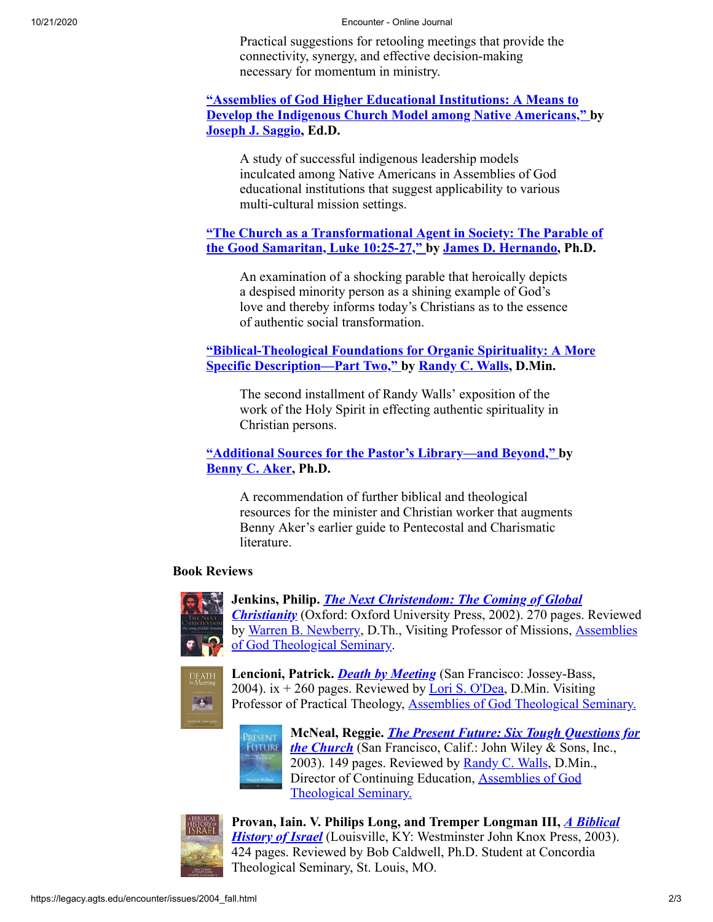10/21/2020 Encounter - Online Journal

Practical suggestions for retooling meetings that provide the connectivity, synergy, and effective decision-making necessary for momentum in ministry.

#### **"Assemblies of God Higher Educational Institutions: A Means to [Develop the Indigenous Church Model among Native Americans," b](https://legacy.agts.edu/encounter/articles/2004_fall/saggio.htm)y [Joseph J. Saggio](http://legacy.agts.edu/faculty/adjunct_faculty.html#josephsaggio), Ed.D.**

A study of successful indigenous leadership models inculcated among Native Americans in Assemblies of God educational institutions that suggest applicability to various multi-cultural mission settings.

# **["The Church as a Transformational Agent in Society: The Parable of](https://legacy.agts.edu/encounter/articles/2004_fall/hernando.htm) the Good Samaritan, Luke 10:25-27," by [James D. Hernando](http://legacy.agts.edu/faculty/hernando.html), Ph.D.**

An examination of a shocking parable that heroically depicts a despised minority person as a shining example of God's love and thereby informs today's Christians as to the essence of authentic social transformation.

# **["Biblical-Theological Foundations for Organic Spirituality: A More](https://legacy.agts.edu/encounter/articles/2004_fall/walls.htm) Specific Description—Part Two," by [Randy C. Walls](http://legacy.agts.edu/faculty/adjunct_faculty.html#randywalls), D.Min.**

The second installment of Randy Walls' exposition of the work of the Holy Spirit in effecting authentic spirituality in Christian persons.

# **["Additional Sources for the Pastor's Library—and Beyond," b](https://legacy.agts.edu/encounter/articles/2004_fall/aker.htm)y [Benny C. Aker,](http://legacy.agts.edu/faculty/aker.html) Ph.D.**

A recommendation of further biblical and theological resources for the minister and Christian worker that augments Benny Aker's earlier guide to Pentecostal and Charismatic literature.

# **Book Reviews**



**Jenkins, Philip.** *The Next Christendom: The Coming of Global Christianity* [\(Oxford: Oxford University Press, 2002\). 270 pages.](https://legacy.agts.edu/encounter/book_reviews/2004_fall/jenkins.htm) Reviewed [by Warren B. Newberry, D.Th., Visiting Professor of Missions, Assemblies](http://legacy.agts.edu/index.html) of God Theological Seminary.



**Lencioni, Patrick.** *[Death by Meeting](https://legacy.agts.edu/encounter/book_reviews/2004_fall/lencioni.htm)* (San Francisco: Jossey-Bass, 2004). ix  $+$  260 pages. Reviewed by [Lori S. O'Dea,](https://legacy.agts.edu/dmin/meet_staff.html) D.Min. Visiting Professor of Practical Theology, [Assemblies of God Theological Seminary.](http://legacy.agts.edu/)



**McNeal, Reggie.** *The Present Future: Six Tough Questions for the Church* [\(San Francisco, Calif.: John Wiley & Sons, Inc.,](https://legacy.agts.edu/encounter/book_reviews/2004_fall/mcneal.htm) 2003). 149 pages. Reviewed by [Randy C. Walls,](https://legacy.agts.edu/community/census.html#walls) D.Min., [Director of Continuing Education, Assemblies of God](http://legacy.agts.edu/) Theological Seminary.



**[Provan, Iain. V. Philips Long, and Tremper Longman III,](https://legacy.agts.edu/encounter/book_reviews/2004_fall/provan.htm)** *A Biblical History of Israel* (Louisville, KY: Westminster John Knox Press, 2003). 424 pages. Reviewed by Bob Caldwell, Ph.D. Student at Concordia Theological Seminary, St. Louis, MO.